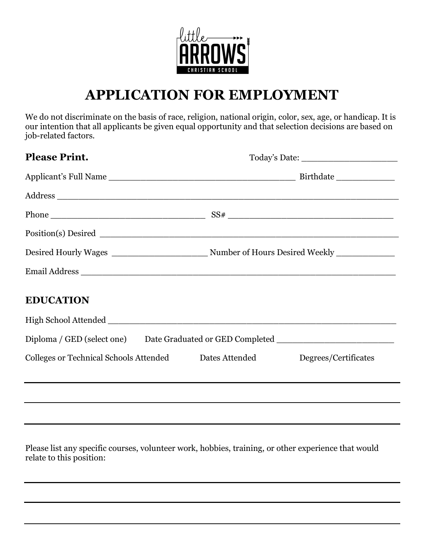

# **APPLICATION FOR EMPLOYMENT**

We do not discriminate on the basis of race, religion, national origin, color, sex, age, or handicap. It is our intention that all applicants be given equal opportunity and that selection decisions are based on job-related factors.

| <b>Please Print.</b>                                                              |  |                      |
|-----------------------------------------------------------------------------------|--|----------------------|
|                                                                                   |  |                      |
|                                                                                   |  |                      |
|                                                                                   |  |                      |
|                                                                                   |  |                      |
|                                                                                   |  |                      |
| Email Address                                                                     |  |                      |
| <b>EDUCATION</b>                                                                  |  |                      |
|                                                                                   |  |                      |
| Diploma / GED (select one) Date Graduated or GED Completed ______________________ |  |                      |
| Colleges or Technical Schools Attended Dates Attended                             |  | Degrees/Certificates |
|                                                                                   |  |                      |
|                                                                                   |  |                      |
|                                                                                   |  |                      |

Please list any specific courses, volunteer work, hobbies, training, or other experience that would relate to this position: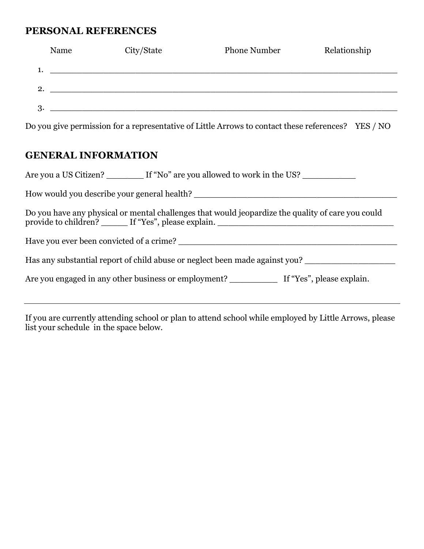#### **PERSONAL REFERENCES**

|    | Name | City/State | <b>Phone Number</b> | Relationship |
|----|------|------------|---------------------|--------------|
| 1. |      |            |                     |              |
| 2. |      |            |                     |              |
| 3. |      |            |                     |              |
|    |      |            |                     |              |

Do you give permission for a representative of Little Arrows to contact these references? YES / NO

## **GENERAL INFORMATION**

| Are you a US Citizen? If "No" are you allowed to work in the US?                                  |  |  |  |
|---------------------------------------------------------------------------------------------------|--|--|--|
| How would you describe your general health?                                                       |  |  |  |
| Do you have any physical or mental challenges that would jeopardize the quality of care you could |  |  |  |
|                                                                                                   |  |  |  |
| Has any substantial report of child abuse or neglect been made against you?                       |  |  |  |
|                                                                                                   |  |  |  |
|                                                                                                   |  |  |  |

If you are currently attending school or plan to attend school while employed by Little Arrows, please list your schedule in the space below.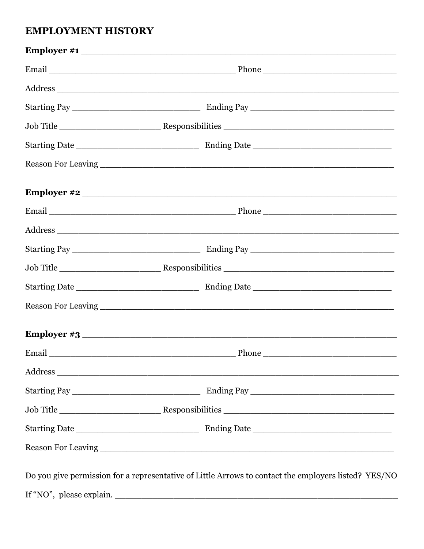#### **EMPLOYMENT HISTORY**

| Employer #1                                                                                          |  |
|------------------------------------------------------------------------------------------------------|--|
|                                                                                                      |  |
|                                                                                                      |  |
|                                                                                                      |  |
|                                                                                                      |  |
|                                                                                                      |  |
|                                                                                                      |  |
|                                                                                                      |  |
|                                                                                                      |  |
|                                                                                                      |  |
|                                                                                                      |  |
|                                                                                                      |  |
|                                                                                                      |  |
|                                                                                                      |  |
| <b>Employer #3</b>                                                                                   |  |
|                                                                                                      |  |
|                                                                                                      |  |
|                                                                                                      |  |
|                                                                                                      |  |
|                                                                                                      |  |
|                                                                                                      |  |
| Do you give permission for a representative of Little Arrows to contact the employers listed? YES/NO |  |
|                                                                                                      |  |